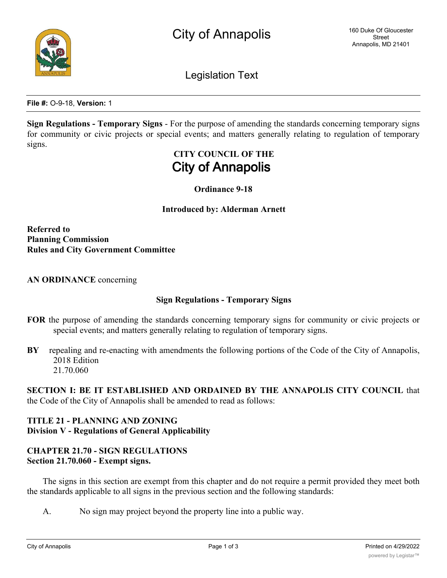

Legislation Text

**File #:** O-9-18, **Version:** 1

**Sign Regulations - Temporary Signs** - For the purpose of amending the standards concerning temporary signs for community or civic projects or special events; and matters generally relating to regulation of temporary signs.

# **CITY COUNCIL OF THE City of Annapolis**

## **Ordinance 9-18**

### **Introduced by: Alderman Arnett**

**Referred to Planning Commission Rules and City Government Committee**

**AN ORDINANCE** concerning

## **Sign Regulations - Temporary Signs**

- **FOR** the purpose of amending the standards concerning temporary signs for community or civic projects or special events; and matters generally relating to regulation of temporary signs.
- **BY** repealing and re-enacting with amendments the following portions of the Code of the City of Annapolis, 2018 Edition 21.70.060

**SECTION I: BE IT ESTABLISHED AND ORDAINED BY THE ANNAPOLIS CITY COUNCIL** that the Code of the City of Annapolis shall be amended to read as follows:

## **TITLE 21 - PLANNING AND ZONING Division V - Regulations of General Applicability**

# **CHAPTER 21.70 - SIGN REGULATIONS Section 21.70.060 - Exempt signs.**

The signs in this section are exempt from this chapter and do not require a permit provided they meet both the standards applicable to all signs in the previous section and the following standards:

A. No sign may project beyond the property line into a public way.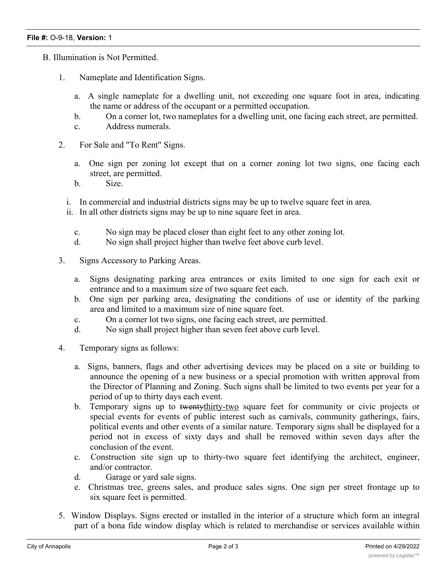- B. Illumination is Not Permitted.
	- 1. Nameplate and Identification Signs.
		- a. A single nameplate for a dwelling unit, not exceeding one square foot in area, indicating the name or address of the occupant or a permitted occupation.
		- b. On a corner lot, two nameplates for a dwelling unit, one facing each street, are permitted.
		- c. Address numerals.
	- 2. For Sale and "To Rent" Signs.
		- a. One sign per zoning lot except that on a corner zoning lot two signs, one facing each street, are permitted.
		- b. Size.
		- i. In commercial and industrial districts signs may be up to twelve square feet in area.
		- ii. In all other districts signs may be up to nine square feet in area.
			- c. No sign may be placed closer than eight feet to any other zoning lot.
			- d. No sign shall project higher than twelve feet above curb level.
	- 3. Signs Accessory to Parking Areas.
		- a. Signs designating parking area entrances or exits limited to one sign for each exit or entrance and to a maximum size of two square feet each.
		- b. One sign per parking area, designating the conditions of use or identity of the parking area and limited to a maximum size of nine square feet.
		- c. On a corner lot two signs, one facing each street, are permitted.
		- d. No sign shall project higher than seven feet above curb level.
	- 4. Temporary signs as follows:
		- a. Signs, banners, flags and other advertising devices may be placed on a site or building to announce the opening of a new business or a special promotion with written approval from the Director of Planning and Zoning. Such signs shall be limited to two events per year for a period of up to thirty days each event.
		- b. Temporary signs up to twentythirty-two square feet for community or civic projects or special events for events of public interest such as carnivals, community gatherings, fairs, political events and other events of a similar nature. Temporary signs shall be displayed for a period not in excess of sixty days and shall be removed within seven days after the conclusion of the event.
		- c. Construction site sign up to thirty-two square feet identifying the architect, engineer, and/or contractor.
		- d. Garage or yard sale signs.
		- e. Christmas tree, greens sales, and produce sales signs. One sign per street frontage up to six square feet is permitted.
	- 5. Window Displays. Signs erected or installed in the interior of a structure which form an integral part of a bona fide window display which is related to merchandise or services available within